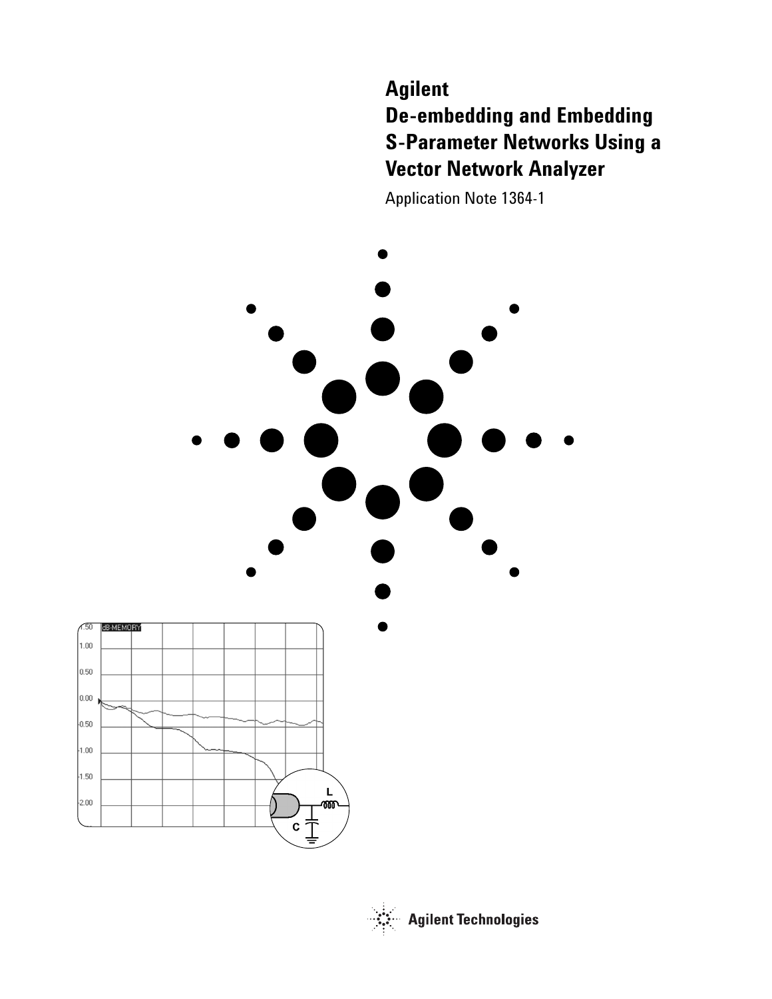# **Agilent De-embedding and Embedding S-Parameter Networks Using a Vector Network Analyzer**

Application Note 1364-1





**Agilent Technologies**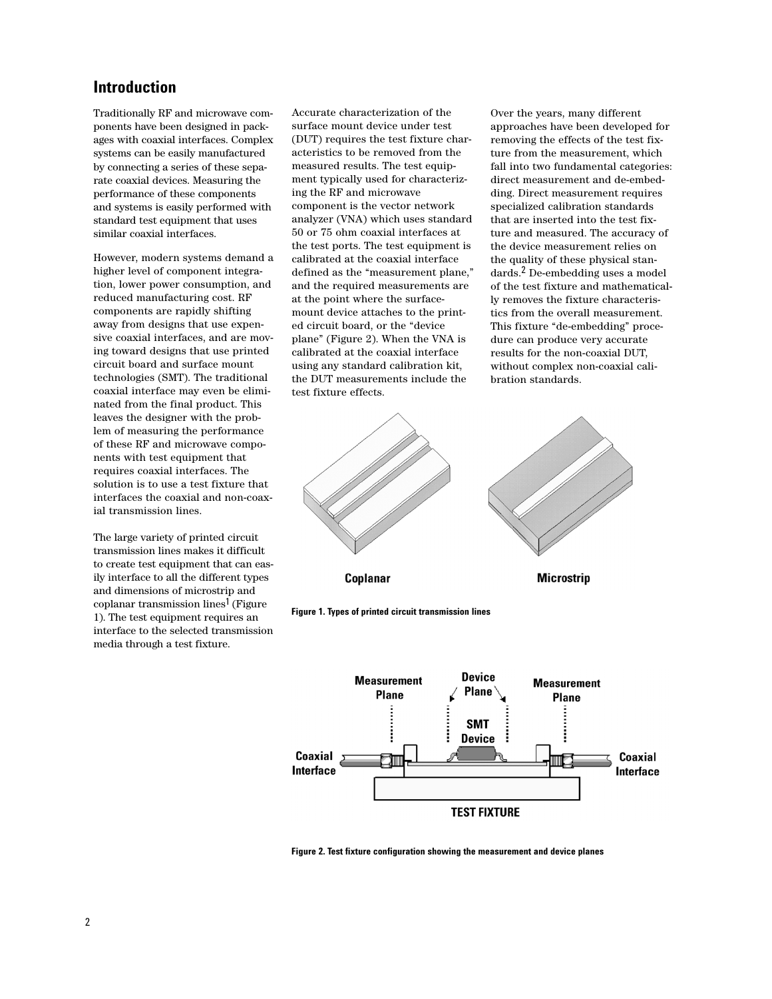# **Introduction**

Traditionally RF and microwave components have been designed in packages with coaxial interfaces. Complex systems can be easily manufactured by connecting a series of these separate coaxial devices. Measuring the performance of these components and systems is easily performed with standard test equipment that uses similar coaxial interfaces.

However, modern systems demand a higher level of component integration, lower power consumption, and reduced manufacturing cost. RF components are rapidly shifting away from designs that use expensive coaxial interfaces, and are moving toward designs that use printed circuit board and surface mount technologies (SMT). The traditional coaxial interface may even be eliminated from the final product. This leaves the designer with the problem of measuring the performance of these RF and microwave components with test equipment that requires coaxial interfaces. The solution is to use a test fixture that interfaces the coaxial and non-coaxial transmission lines.

The large variety of printed circuit transmission lines makes it difficult to create test equipment that can easily interface to all the different types and dimensions of microstrip and coplanar transmission lines<sup>1</sup> (Figure 1). The test equipment requires an interface to the selected transmission media through a test fixture.

Accurate characterization of the surface mount device under test (DUT) requires the test fixture characteristics to be removed from the measured results. The test equipment typically used for characterizing the RF and microwave component is the vector network analyzer (VNA) which uses standard 50 or 75 ohm coaxial interfaces at the test ports. The test equipment is calibrated at the coaxial interface defined as the "measurement plane," and the required measurements are at the point where the surfacemount device attaches to the printed circuit board, or the "device plane" (Figure 2). When the VNA is calibrated at the coaxial interface using any standard calibration kit, the DUT measurements include the test fixture effects.

Over the years, many different approaches have been developed for removing the effects of the test fixture from the measurement, which fall into two fundamental categories: direct measurement and de-embedding. Direct measurement requires specialized calibration standards that are inserted into the test fixture and measured. The accuracy of the device measurement relies on the quality of these physical standards.2 De-embedding uses a model of the test fixture and mathematically removes the fixture characteristics from the overall measurement. This fixture "de-embedding" procedure can produce very accurate results for the non-coaxial DUT, without complex non-coaxial calibration standards.







**Figure 2. Test fixture configuration showing the measurement and device planes**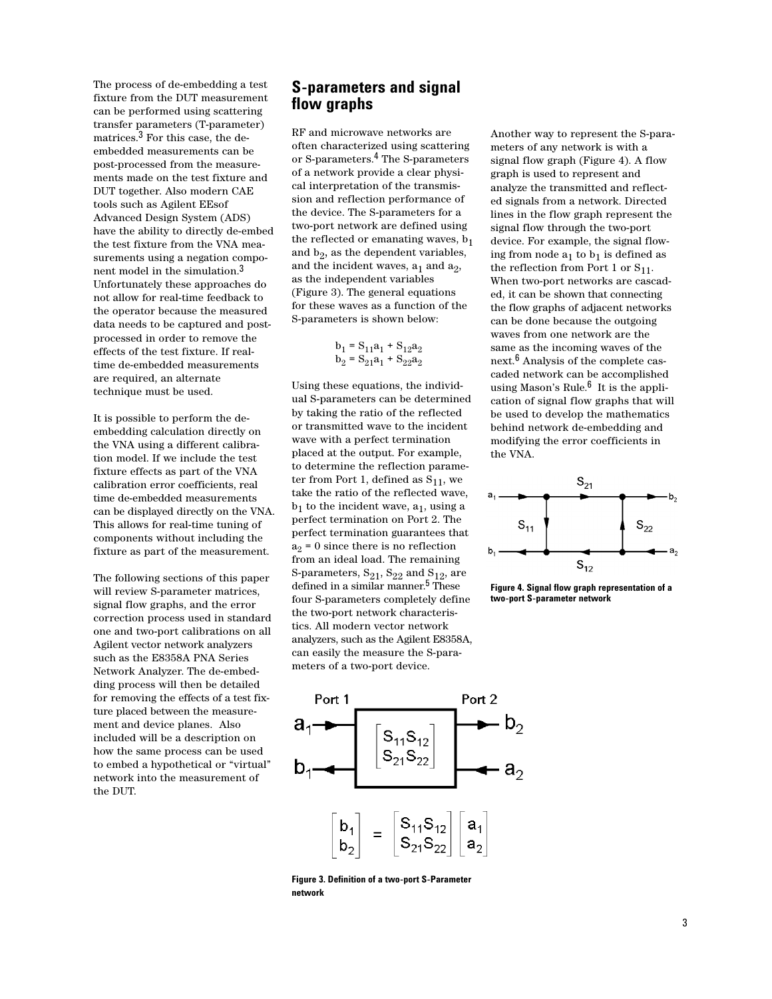The process of de-embedding a test fixture from the DUT measurement can be performed using scattering transfer parameters (T-parameter) matrices.3 For this case, the deembedded measurements can be post-processed from the measurements made on the test fixture and DUT together. Also modern CAE tools such as Agilent EEsof Advanced Design System (ADS) have the ability to directly de-embed the test fixture from the VNA measurements using a negation component model in the simulation.3 Unfortunately these approaches do not allow for real-time feedback to the operator because the measured data needs to be captured and postprocessed in order to remove the effects of the test fixture. If realtime de-embedded measurements are required, an alternate technique must be used.

It is possible to perform the deembedding calculation directly on the VNA using a different calibration model. If we include the test fixture effects as part of the VNA calibration error coefficients, real time de-embedded measurements can be displayed directly on the VNA. This allows for real-time tuning of components without including the fixture as part of the measurement.

The following sections of this paper will review S-parameter matrices, signal flow graphs, and the error correction process used in standard one and two-port calibrations on all Agilent vector network analyzers such as the E8358A PNA Series Network Analyzer. The de-embedding process will then be detailed for removing the effects of a test fixture placed between the measurement and device planes. Also included will be a description on how the same process can be used to embed a hypothetical or "virtual" network into the measurement of the DUT.

# **S-parameters and signal flow graphs**

RF and microwave networks are often characterized using scattering or S-parameters.4 The S-parameters of a network provide a clear physical interpretation of the transmission and reflection performance of the device. The S-parameters for a two-port network are defined using the reflected or emanating waves,  $b_1$ and  $b_2$ , as the dependent variables, and the incident waves,  $a_1$  and  $a_2$ , as the independent variables (Figure 3). The general equations for these waves as a function of the S-parameters is shown below:

 $b_1 = S_{11}a_1 + S_{12}a_2$  $b_2 = S_{21}a_1 + S_{22}a_2$ 

Using these equations, the individual S-parameters can be determined by taking the ratio of the reflected or transmitted wave to the incident wave with a perfect termination placed at the output. For example, to determine the reflection parameter from Port 1, defined as  $S_{11}$ , we take the ratio of the reflected wave,  $b_1$  to the incident wave,  $a_1$ , using a perfect termination on Port 2. The perfect termination guarantees that  $a_2 = 0$  since there is no reflection from an ideal load. The remaining S-parameters,  $S_{21}$ ,  $S_{22}$  and  $S_{12}$ , are defined in a similar manner.<sup>5</sup> These four S-parameters completely define the two-port network characteristics. All modern vector network analyzers, such as the Agilent E8358A, can easily the measure the S-parameters of a two-port device.



**Figure 3. Definition of a two-port S-Parameter network**

Another way to represent the S-parameters of any network is with a signal flow graph (Figure 4). A flow graph is used to represent and analyze the transmitted and reflected signals from a network. Directed lines in the flow graph represent the signal flow through the two-port device. For example, the signal flowing from node  $a_1$  to  $b_1$  is defined as the reflection from Port 1 or  $S_{11}$ . When two-port networks are cascaded, it can be shown that connecting the flow graphs of adjacent networks can be done because the outgoing waves from one network are the same as the incoming waves of the next.6 Analysis of the complete cascaded network can be accomplished using Mason's Rule. $6$  It is the application of signal flow graphs that will be used to develop the mathematics behind network de-embedding and modifying the error coefficients in the VNA.



**Figure 4. Signal flow graph representation of a two-port S-parameter network**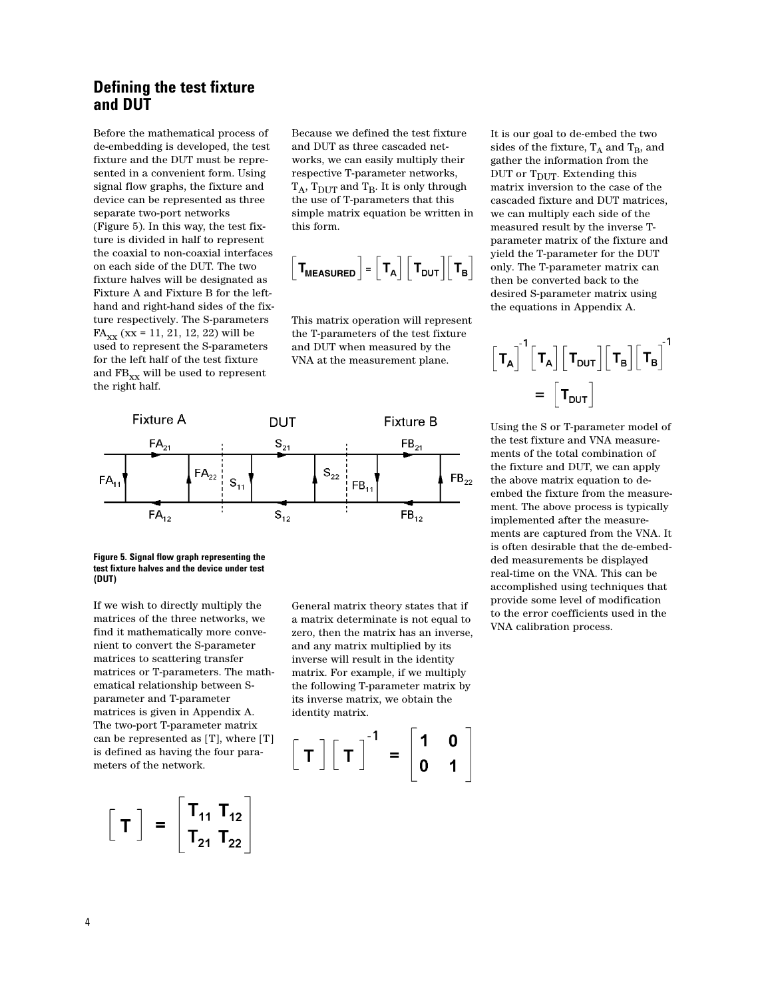# **Defining the test fixture and DUT**

Before the mathematical process of de-embedding is developed, the test fixture and the DUT must be represented in a convenient form. Using signal flow graphs, the fixture and device can be represented as three separate two-port networks (Figure 5). In this way, the test fixture is divided in half to represent the coaxial to non-coaxial interfaces on each side of the DUT. The two fixture halves will be designated as Fixture A and Fixture B for the lefthand and right-hand sides of the fixture respectively. The S-parameters  $FA_{XX}$  (xx = 11, 21, 12, 22) will be used to represent the S-parameters for the left half of the test fixture and  $\text{FB}_{\text{xx}}$  will be used to represent the right half.

Because we defined the test fixture and DUT as three cascaded networks, we can easily multiply their respective T-parameter networks,  $T_A$ ,  $T_{DUT}$  and  $T_B$ . It is only through the use of T-parameters that this simple matrix equation be written in this form.

$$
\left[\mathbf{T}_{\text{MEASURED}}\right] = \left[\mathbf{T}_{\text{A}}\right] \left[\mathbf{T}_{\text{DUT}}\right] \left[\mathbf{T}_{\text{B}}\right]
$$

This matrix operation will represent the T-parameters of the test fixture and DUT when measured by the VNA at the measurement plane.



### **Figure 5. Signal flow graph representing the test fixture halves and the device under test (DUT)**

If we wish to directly multiply the matrices of the three networks, we find it mathematically more convenient to convert the S-parameter matrices to scattering transfer matrices or T-parameters. The mathematical relationship between Sparameter and T-parameter matrices is given in Appendix A. The two-port T-parameter matrix can be represented as [T], where [T] is defined as having the four parameters of the network.

$$
\begin{bmatrix} T \end{bmatrix} = \begin{bmatrix} T_{11} & T_{12} \\ T_{21} & T_{22} \end{bmatrix}
$$

General matrix theory states that if a matrix determinate is not equal to zero, then the matrix has an inverse, and any matrix multiplied by its inverse will result in the identity matrix. For example, if we multiply the following T-parameter matrix by its inverse matrix, we obtain the identity matrix.

$$
\begin{bmatrix} T \end{bmatrix} \begin{bmatrix} T \end{bmatrix}^{-1} = \begin{bmatrix} 1 & 0 \\ 0 & 1 \end{bmatrix}
$$

It is our goal to de-embed the two sides of the fixture,  $T_A$  and  $T_B$ , and gather the information from the DUT or  $T_{\text{DUT}}$ . Extending this matrix inversion to the case of the cascaded fixture and DUT matrices, we can multiply each side of the measured result by the inverse Tparameter matrix of the fixture and yield the T-parameter for the DUT only. The T-parameter matrix can then be converted back to the desired S-parameter matrix using the equations in Appendix A.

$$
\begin{bmatrix} \boldsymbol{\tau}_A \end{bmatrix}^1 \begin{bmatrix} \boldsymbol{\tau}_A \end{bmatrix} \begin{bmatrix} \boldsymbol{\tau}_{\text{DUT}} \end{bmatrix} \begin{bmatrix} \boldsymbol{\tau}_B \end{bmatrix} \begin{bmatrix} \boldsymbol{\tau}_B \end{bmatrix}^1 \\ = \begin{bmatrix} \boldsymbol{\tau}_{\text{DUT}} \end{bmatrix}
$$

Using the S or T-parameter model of the test fixture and VNA measurements of the total combination of the fixture and DUT, we can apply the above matrix equation to deembed the fixture from the measurement. The above process is typically implemented after the measurements are captured from the VNA. It is often desirable that the de-embedded measurements be displayed real-time on the VNA. This can be accomplished using techniques that provide some level of modification to the error coefficients used in the VNA calibration process.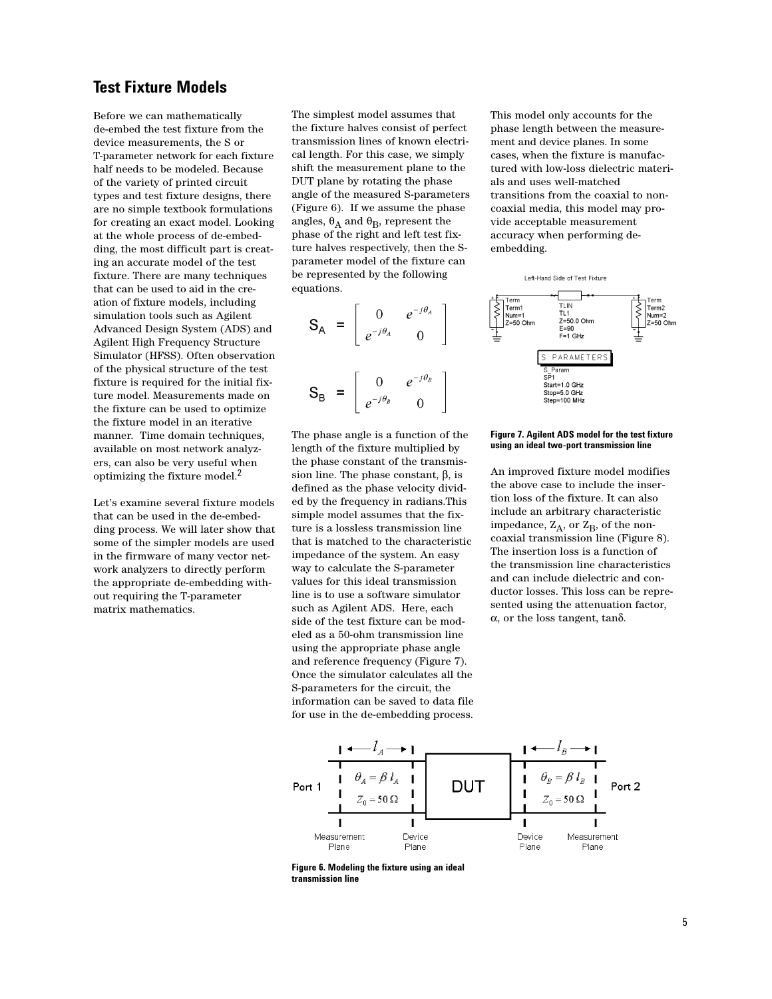## **Test Fixture Models**

Before we can mathematically de-embed the test fixture from the device measurements, the S or T-parameter network for each fixture half needs to be modeled. Because of the variety of printed circuit types and test fixture designs, there are no simple textbook formulations for creating an exact model. Looking at the whole process of de-embedding, the most difficult part is creating an accurate model of the test fixture. There are many techniques that can be used to aid in the creation of fixture models, including simulation tools such as Agilent Advanced Design System (ADS) and Agilent High Frequency Structure Simulator (HFSS). Often observation of the physical structure of the test fixture is required for the initial fixture model. Measurements made on the fixture can be used to optimize the fixture model in an iterative manner. Time domain techniques, available on most network analyzers, can also be very useful when optimizing the fixture model.2

Let's examine several fixture models that can be used in the de-embedding process. We will later show that some of the simpler models are used in the firmware of many vector network analyzers to directly perform the appropriate de-embedding without requiring the T-parameter matrix mathematics.

The simplest model assumes that the fixture halves consist of perfect transmission lines of known electrical length. For this case, we simply shift the measurement plane to the DUT plane by rotating the phase angle of the measured S-parameters (Figure 6). If we assume the phase angles,  $\theta_A$  and  $\theta_B$ , represent the phase of the right and left test fixture halves respectively, then the Sparameter model of the fixture can be represented by the following equations.

$$
\mathbf{S}_{\mathsf{A}} = \begin{bmatrix} 0 & e^{-j\theta_{\mathsf{A}}} \\ e^{-j\theta_{\mathsf{A}}} & 0 \end{bmatrix}
$$

$$
\mathbf{S}_{\mathsf{B}} = \begin{bmatrix} 0 & e^{-j\theta_{\mathsf{B}}} \\ e^{-j\theta_{\mathsf{B}}} & 0 \end{bmatrix}
$$

The phase angle is a function of the length of the fixture multiplied by the phase constant of the transmission line. The phase constant, β, is defined as the phase velocity divided by the frequency in radians.This simple model assumes that the fixture is a lossless transmission line that is matched to the characteristic impedance of the system. An easy way to calculate the S-parameter values for this ideal transmission line is to use a software simulator such as Agilent ADS. Here, each side of the test fixture can be modeled as a 50-ohm transmission line using the appropriate phase angle and reference frequency (Figure 7). Once the simulator calculates all the S-parameters for the circuit, the information can be saved to data file for use in the de-embedding process. This model only accounts for the phase length between the measurement and device planes. In some cases, when the fixture is manufactured with low-loss dielectric materials and uses well-matched transitions from the coaxial to noncoaxial media, this model may provide acceptable measurement accuracy when performing deembedding.



## **Figure 7. Agilent ADS model for the test fixture using an ideal two-port transmission line**

An improved fixture model modifies the above case to include the insertion loss of the fixture. It can also include an arbitrary characteristic impedance,  $Z_A$ , or  $Z_B$ , of the noncoaxial transmission line (Figure 8). The insertion loss is a function of the transmission line characteristics and can include dielectric and conductor losses. This loss can be represented using the attenuation factor, α, or the loss tangent, tanδ.



**Figure 6. Modeling the fixture using an ideal transmission line**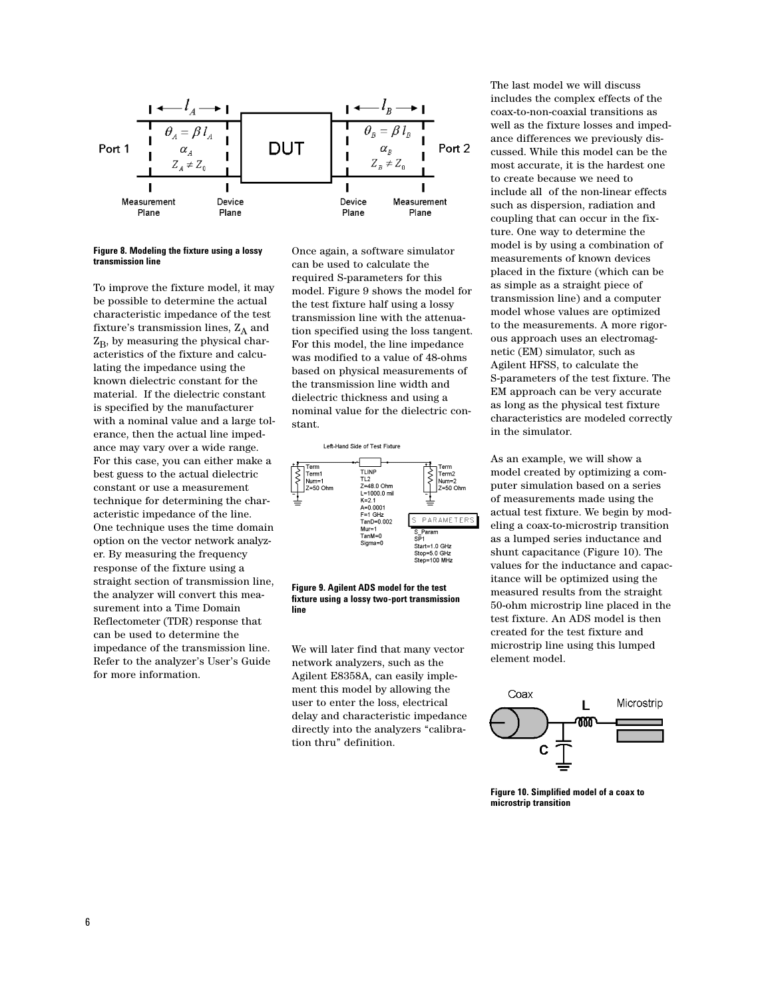

## **Figure 8. Modeling the fixture using a lossy transmission line**

To improve the fixture model, it may be possible to determine the actual characteristic impedance of the test fixture's transmission lines,  $Z_A$  and  $Z_B$ , by measuring the physical characteristics of the fixture and calculating the impedance using the known dielectric constant for the material. If the dielectric constant is specified by the manufacturer with a nominal value and a large tolerance, then the actual line impedance may vary over a wide range. For this case, you can either make a best guess to the actual dielectric constant or use a measurement technique for determining the characteristic impedance of the line. One technique uses the time domain option on the vector network analyzer. By measuring the frequency response of the fixture using a straight section of transmission line, the analyzer will convert this measurement into a Time Domain Reflectometer (TDR) response that can be used to determine the impedance of the transmission line. Refer to the analyzer's User's Guide for more information.

Once again, a software simulator can be used to calculate the required S-parameters for this model. Figure 9 shows the model for the test fixture half using a lossy transmission line with the attenuation specified using the loss tangent. For this model, the line impedance was modified to a value of 48-ohms based on physical measurements of the transmission line width and dielectric thickness and using a nominal value for the dielectric constant.





We will later find that many vector network analyzers, such as the Agilent E8358A, can easily implement this model by allowing the user to enter the loss, electrical delay and characteristic impedance directly into the analyzers "calibration thru" definition.

The last model we will discuss includes the complex effects of the coax-to-non-coaxial transitions as well as the fixture losses and impedance differences we previously discussed. While this model can be the most accurate, it is the hardest one to create because we need to include all of the non-linear effects such as dispersion, radiation and coupling that can occur in the fixture. One way to determine the model is by using a combination of measurements of known devices placed in the fixture (which can be as simple as a straight piece of transmission line) and a computer model whose values are optimized to the measurements. A more rigorous approach uses an electromagnetic (EM) simulator, such as Agilent HFSS, to calculate the S-parameters of the test fixture. The EM approach can be very accurate as long as the physical test fixture characteristics are modeled correctly in the simulator.

As an example, we will show a model created by optimizing a computer simulation based on a series of measurements made using the actual test fixture. We begin by modeling a coax-to-microstrip transition as a lumped series inductance and shunt capacitance (Figure 10). The values for the inductance and capacitance will be optimized using the measured results from the straight 50-ohm microstrip line placed in the test fixture. An ADS model is then created for the test fixture and microstrip line using this lumped element model.



**Figure 10. Simplified model of a coax to microstrip transition**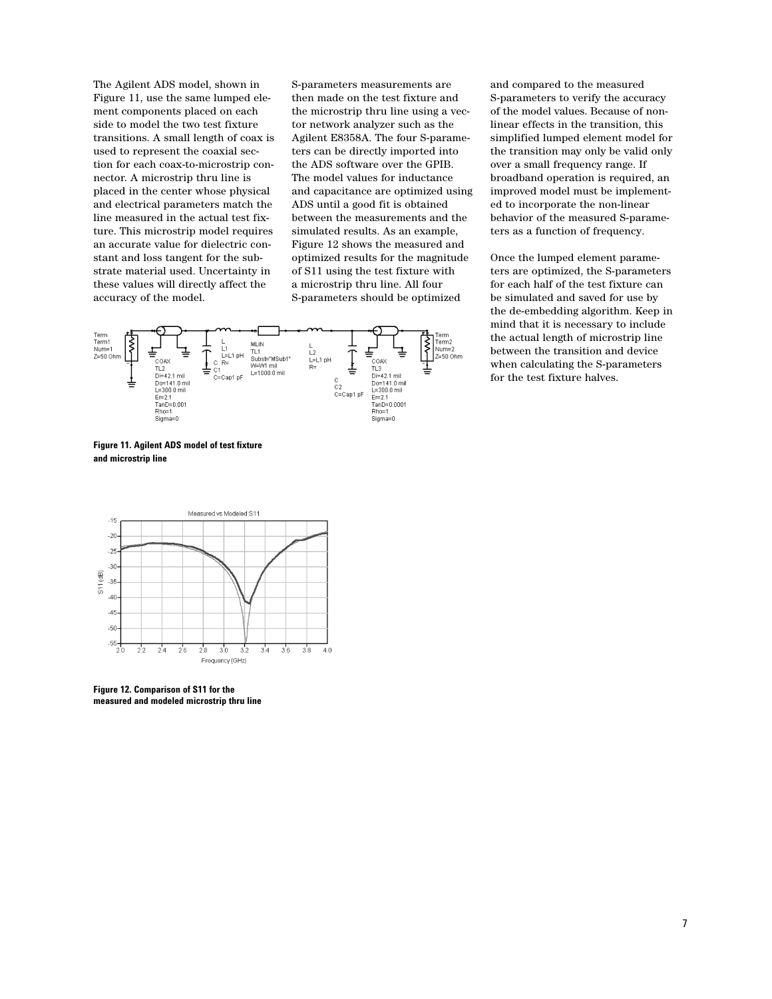The Agilent ADS model, shown in Figure 11, use the same lumped element components placed on each side to model the two test fixture transitions. A small length of coax is used to represent the coaxial section for each coax-to-microstrip connector. A microstrip thru line is placed in the center whose physical and electrical parameters match the line measured in the actual test fixture. This microstrip model requires an accurate value for dielectric constant and loss tangent for the substrate material used. Uncertainty in these values will directly affect the accuracy of the model.

S-parameters measurements are then made on the test fixture and the microstrip thru line using a vector network analyzer such as the Agilent E8358A. The four S-parameters can be directly imported into the ADS software over the GPIB. The model values for inductance and capacitance are optimized using ADS until a good fit is obtained between the measurements and the simulated results. As an example, Figure 12 shows the measured and optimized results for the magnitude of S11 using the test fixture with a microstrip thru line. All four S-parameters should be optimized



**Figure 11. Agilent ADS model of test fixture and microstrip line** 



**Figure 12. Comparison of S11 for the measured and modeled microstrip thru line** 

and compared to the measured S-parameters to verify the accuracy of the model values. Because of nonlinear effects in the transition, this simplified lumped element model for the transition may only be valid only over a small frequency range. If broadband operation is required, an improved model must be implemented to incorporate the non-linear behavior of the measured S-parameters as a function of frequency.

Once the lumped element parameters are optimized, the S-parameters for each half of the test fixture can be simulated and saved for use by the de-embedding algorithm. Keep in mind that it is necessary to include the actual length of microstrip line between the transition and device when calculating the S-parameters for the test fixture halves.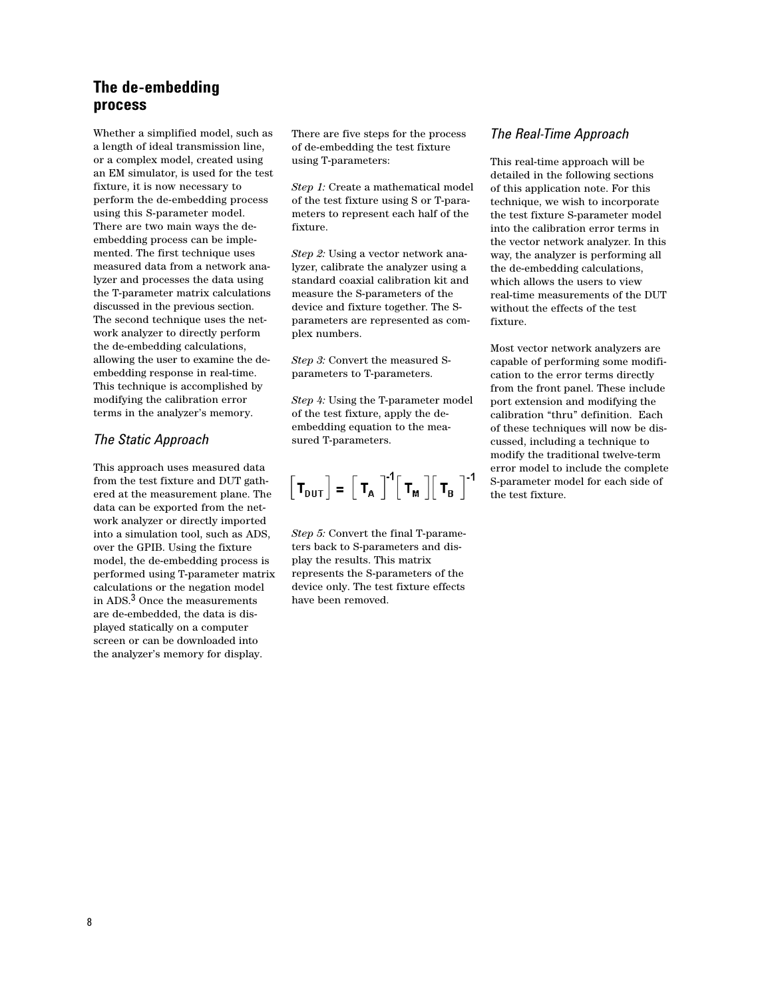# **The de-embedding process**

Whether a simplified model, such as a length of ideal transmission line, or a complex model, created using an EM simulator, is used for the test fixture, it is now necessary to perform the de-embedding process using this S-parameter model. There are two main ways the deembedding process can be implemented. The first technique uses measured data from a network analyzer and processes the data using the T-parameter matrix calculations discussed in the previous section. The second technique uses the network analyzer to directly perform the de-embedding calculations, allowing the user to examine the deembedding response in real-time. This technique is accomplished by modifying the calibration error terms in the analyzer's memory.

## *The Static Approach*

This approach uses measured data from the test fixture and DUT gathered at the measurement plane. The data can be exported from the network analyzer or directly imported into a simulation tool, such as ADS, over the GPIB. Using the fixture model, the de-embedding process is performed using T-parameter matrix calculations or the negation model in ADS.3 Once the measurements are de-embedded, the data is displayed statically on a computer screen or can be downloaded into the analyzer's memory for display.

There are five steps for the process of de-embedding the test fixture using T-parameters:

*Step 1:* Create a mathematical model of the test fixture using S or T-parameters to represent each half of the fixture.

*Step 2:* Using a vector network analyzer, calibrate the analyzer using a standard coaxial calibration kit and measure the S-parameters of the device and fixture together. The Sparameters are represented as complex numbers.

*Step 3:* Convert the measured Sparameters to T-parameters.

*Step 4:* Using the T-parameter model of the test fixture, apply the deembedding equation to the measured T-parameters.

$$
\left[\mathbf{T}_{\mathsf{DUT}}\right] = \left[\mathbf{T}_{\mathsf{A}}\right]^{-1} \left[\mathbf{T}_{\mathsf{M}}\right] \left[\mathbf{T}_{\mathsf{B}}\right]^{-1}
$$

*Step 5:* Convert the final T-parameters back to S-parameters and display the results. This matrix represents the S-parameters of the device only. The test fixture effects have been removed.

## *The Real-Time Approach*

This real-time approach will be detailed in the following sections of this application note. For this technique, we wish to incorporate the test fixture S-parameter model into the calibration error terms in the vector network analyzer. In this way, the analyzer is performing all the de-embedding calculations, which allows the users to view real-time measurements of the DUT without the effects of the test fixture.

Most vector network analyzers are capable of performing some modification to the error terms directly from the front panel. These include port extension and modifying the calibration "thru" definition. Each of these techniques will now be discussed, including a technique to modify the traditional twelve-term error model to include the complete S-parameter model for each side of the test fixture.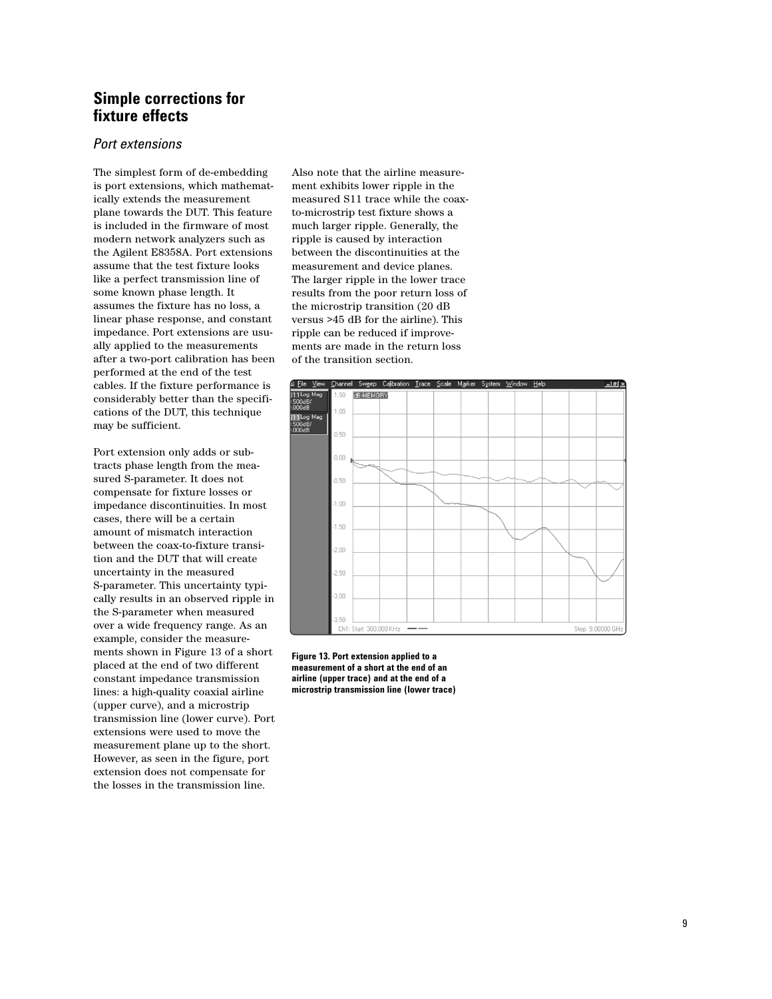# **Simple corrections for fixture effects**

## *Port extensions*

The simplest form of de-embedding is port extensions, which mathematically extends the measurement plane towards the DUT. This feature is included in the firmware of most modern network analyzers such as the Agilent E8358A. Port extensions assume that the test fixture looks like a perfect transmission line of some known phase length. It assumes the fixture has no loss, a linear phase response, and constant impedance. Port extensions are usually applied to the measurements after a two-port calibration has been performed at the end of the test cables. If the fixture performance is considerably better than the specifications of the DUT, this technique may be sufficient.

Port extension only adds or subtracts phase length from the measured S-parameter. It does not compensate for fixture losses or impedance discontinuities. In most cases, there will be a certain amount of mismatch interaction between the coax-to-fixture transition and the DUT that will create uncertainty in the measured S-parameter. This uncertainty typically results in an observed ripple in the S-parameter when measured over a wide frequency range. As an example, consider the measurements shown in Figure 13 of a short placed at the end of two different constant impedance transmission lines: a high-quality coaxial airline (upper curve), and a microstrip transmission line (lower curve). Port extensions were used to move the measurement plane up to the short. However, as seen in the figure, port extension does not compensate for the losses in the transmission line.

Also note that the airline measurement exhibits lower ripple in the measured S11 trace while the coaxto-microstrip test fixture shows a much larger ripple. Generally, the ripple is caused by interaction between the discontinuities at the measurement and device planes. The larger ripple in the lower trace results from the poor return loss of the microstrip transition (20 dB versus >45 dB for the airline). This ripple can be reduced if improvements are made in the return loss of the transition section.



**Figure 13. Port extension applied to a measurement of a short at the end of an airline (upper trace) and at the end of a microstrip transmission line (lower trace)**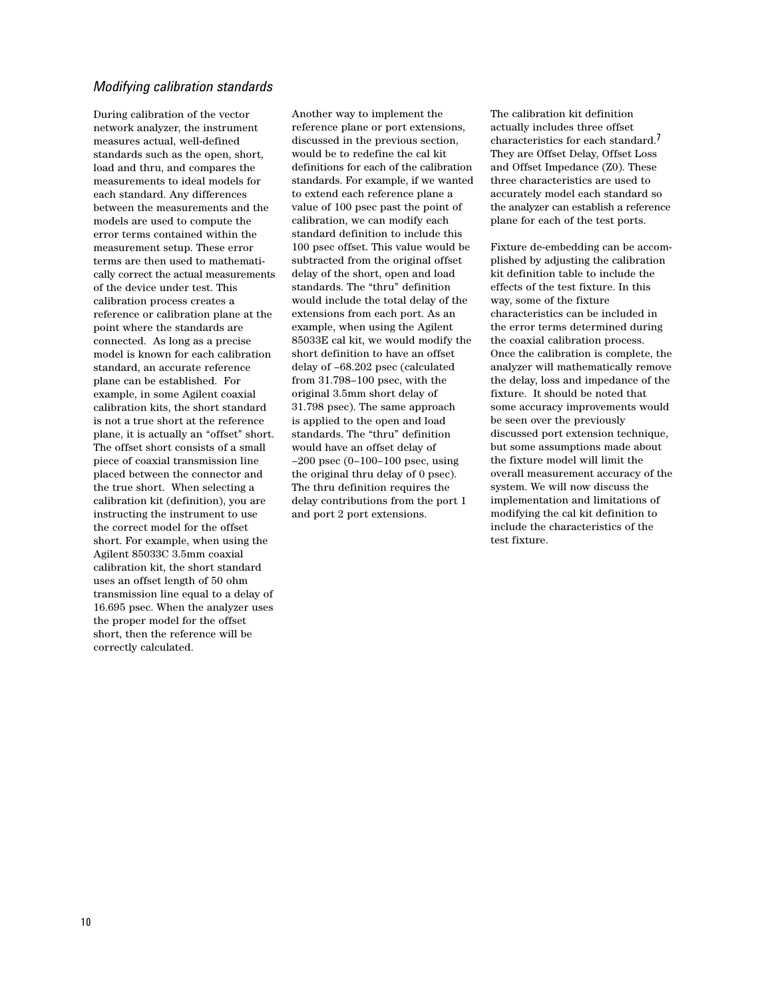## *Modifying calibration standards*

During calibration of the vector network analyzer, the instrument measures actual, well-defined standards such as the open, short, load and thru, and compares the measurements to ideal models for each standard. Any differences between the measurements and the models are used to compute the error terms contained within the measurement setup. These error terms are then used to mathematically correct the actual measurements of the device under test. This calibration process creates a reference or calibration plane at the point where the standards are connected. As long as a precise model is known for each calibration standard, an accurate reference plane can be established. For example, in some Agilent coaxial calibration kits, the short standard is not a true short at the reference plane, it is actually an "offset" short. The offset short consists of a small piece of coaxial transmission line placed between the connector and the true short. When selecting a calibration kit (definition), you are instructing the instrument to use the correct model for the offset short. For example, when using the Agilent 85033C 3.5mm coaxial calibration kit, the short standard uses an offset length of 50 ohm transmission line equal to a delay of 16.695 psec. When the analyzer uses the proper model for the offset short, then the reference will be correctly calculated.

Another way to implement the reference plane or port extensions, discussed in the previous section, would be to redefine the cal kit definitions for each of the calibration standards. For example, if we wanted to extend each reference plane a value of 100 psec past the point of calibration, we can modify each standard definition to include this 100 psec offset. This value would be subtracted from the original offset delay of the short, open and load standards. The "thru" definition would include the total delay of the extensions from each port. As an example, when using the Agilent 85033E cal kit, we would modify the short definition to have an offset delay of –68.202 psec (calculated from 31.798–100 psec, with the original 3.5mm short delay of 31.798 psec). The same approach is applied to the open and load standards. The "thru" definition would have an offset delay of –200 psec (0–100–100 psec, using the original thru delay of 0 psec). The thru definition requires the delay contributions from the port 1 and port 2 port extensions.

The calibration kit definition actually includes three offset characteristics for each standard.7 They are Offset Delay, Offset Loss and Offset Impedance (Z0). These three characteristics are used to accurately model each standard so the analyzer can establish a reference plane for each of the test ports.

Fixture de-embedding can be accomplished by adjusting the calibration kit definition table to include the effects of the test fixture. In this way, some of the fixture characteristics can be included in the error terms determined during the coaxial calibration process. Once the calibration is complete, the analyzer will mathematically remove the delay, loss and impedance of the fixture. It should be noted that some accuracy improvements would be seen over the previously discussed port extension technique, but some assumptions made about the fixture model will limit the overall measurement accuracy of the system. We will now discuss the implementation and limitations of modifying the cal kit definition to include the characteristics of the test fixture.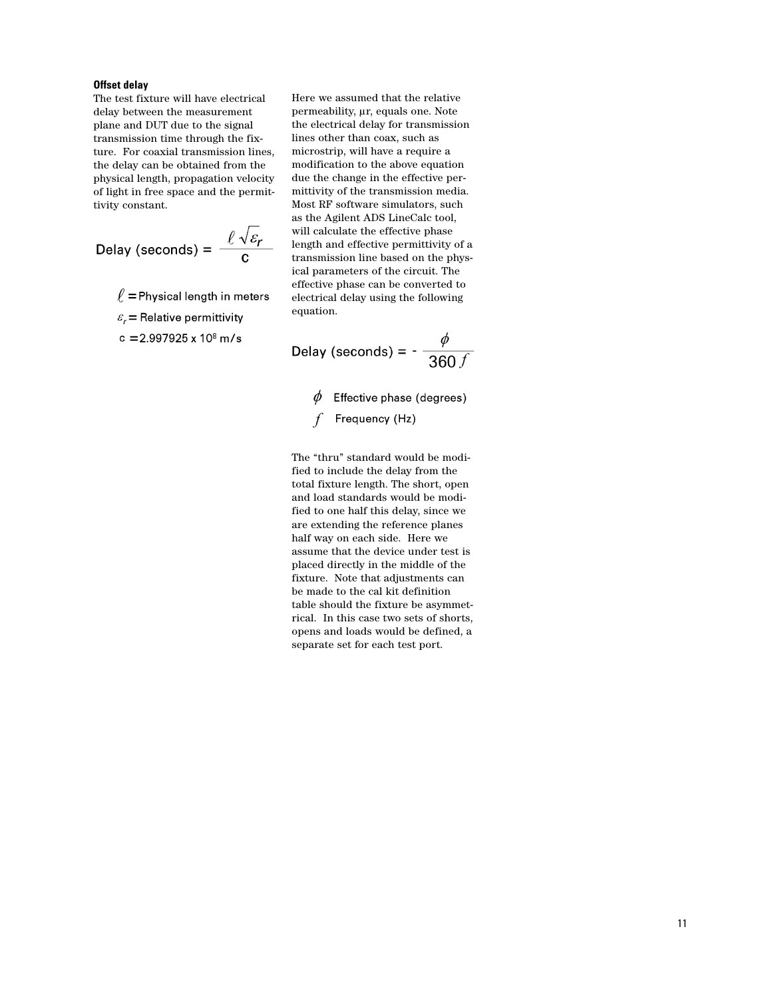## **Offset delay**

The test fixture will have electrical delay between the measurement plane and DUT due to the signal transmission time through the fixture. For coaxial transmission lines, the delay can be obtained from the physical length, propagation velocity of light in free space and the permittivity constant.

$$
Delay (seconds) = \frac{\ell \sqrt{\varepsilon_r}}{c}
$$

 $\ell$  = Physical length in meters

 $\varepsilon_r$  = Relative permittivity

c = 2.997925 x 10 $\degree$  m/s

Here we assumed that the relative permeability, µr, equals one. Note the electrical delay for transmission lines other than coax, such as microstrip, will have a require a modification to the above equation due the change in the effective permittivity of the transmission media. Most RF software simulators, such as the Agilent ADS LineCalc tool, will calculate the effective phase length and effective permittivity of a transmission line based on the physical parameters of the circuit. The effective phase can be converted to electrical delay using the following equation.

Delay (seconds) =  $-\frac{\phi}{360 f}$ 

 $\phi$  Effective phase (degrees)

Frequency (Hz)  $f$ 

The "thru" standard would be modified to include the delay from the total fixture length. The short, open and load standards would be modified to one half this delay, since we are extending the reference planes half way on each side. Here we assume that the device under test is placed directly in the middle of the fixture. Note that adjustments can be made to the cal kit definition table should the fixture be asymmetrical. In this case two sets of shorts, opens and loads would be defined, a separate set for each test port.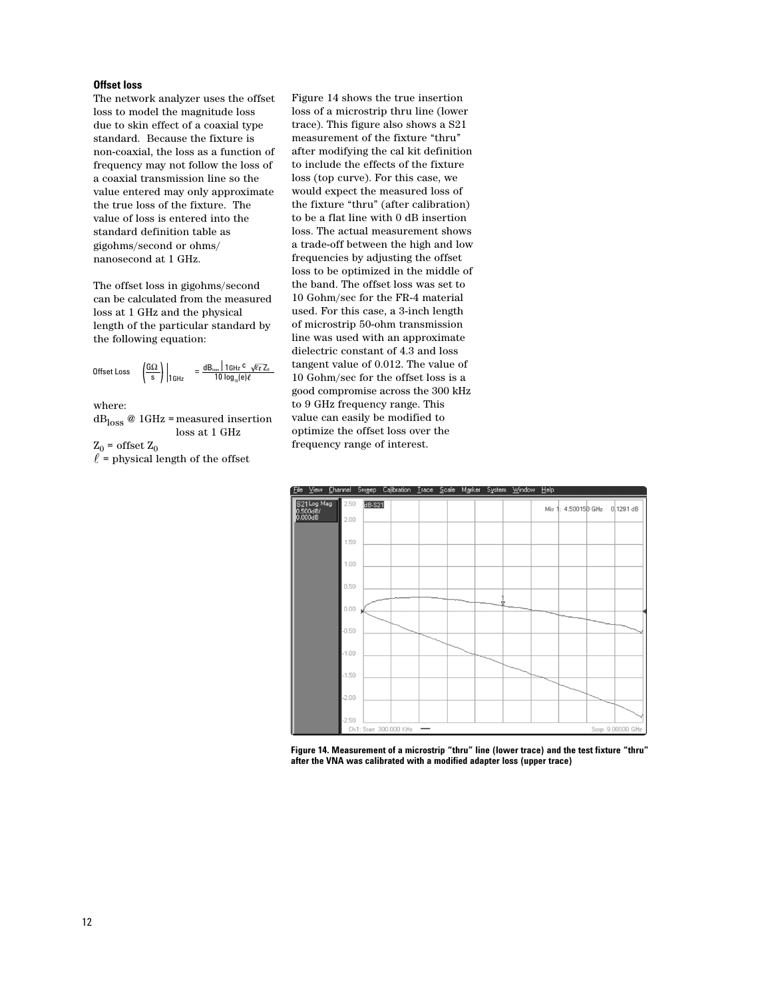## **Offset loss**

The network analyzer uses the offset loss to model the magnitude loss due to skin effect of a coaxial type standard. Because the fixture is non-coaxial, the loss as a function of frequency may not follow the loss of a coaxial transmission line so the value entered may only approximate the true loss of the fixture. The value of loss is entered into the standard definition table as gigohms/second or ohms/ nanosecond at 1 GHz.

The offset loss in gigohms/second can be calculated from the measured loss at 1 GHz and the physical length of the particular standard by the following equation:

$$
\text{offset Loss } \left| \left( \frac{G\Omega}{s} \right) \right|_{16\text{Hz}} \quad = \frac{\text{dB}_{\text{loss}} \mid 16\text{Hz}^{\text{C}} \ \sqrt{\epsilon_{\text{T}}} \, Z_{\text{0}}}{10 \log_{10}(\text{e}) \ell}
$$

where:

 $\text{dB}_{\text{loss}}$ @ 1GHz = measured insertion loss at 1 GHz

 $Z_0$  = offset  $Z_0$ 

 $\ell$  = physical length of the offset

Figure 14 shows the true insertion loss of a microstrip thru line (lower trace). This figure also shows a S21 measurement of the fixture "thru" after modifying the cal kit definition to include the effects of the fixture loss (top curve). For this case, we would expect the measured loss of the fixture "thru" (after calibration) to be a flat line with 0 dB insertion loss. The actual measurement shows a trade-off between the high and low frequencies by adjusting the offset loss to be optimized in the middle of the band. The offset loss was set to 10 Gohm/sec for the FR-4 material used. For this case, a 3-inch length of microstrip 50-ohm transmission line was used with an approximate dielectric constant of 4.3 and loss tangent value of 0.012. The value of 10 Gohm/sec for the offset loss is a good compromise across the 300 kHz to 9 GHz frequency range. This value can easily be modified to optimize the offset loss over the frequency range of interest.



**Figure 14. Measurement of a microstrip "thru" line (lower trace) and the test fixture "thru" after the VNA was calibrated with a modified adapter loss (upper trace)**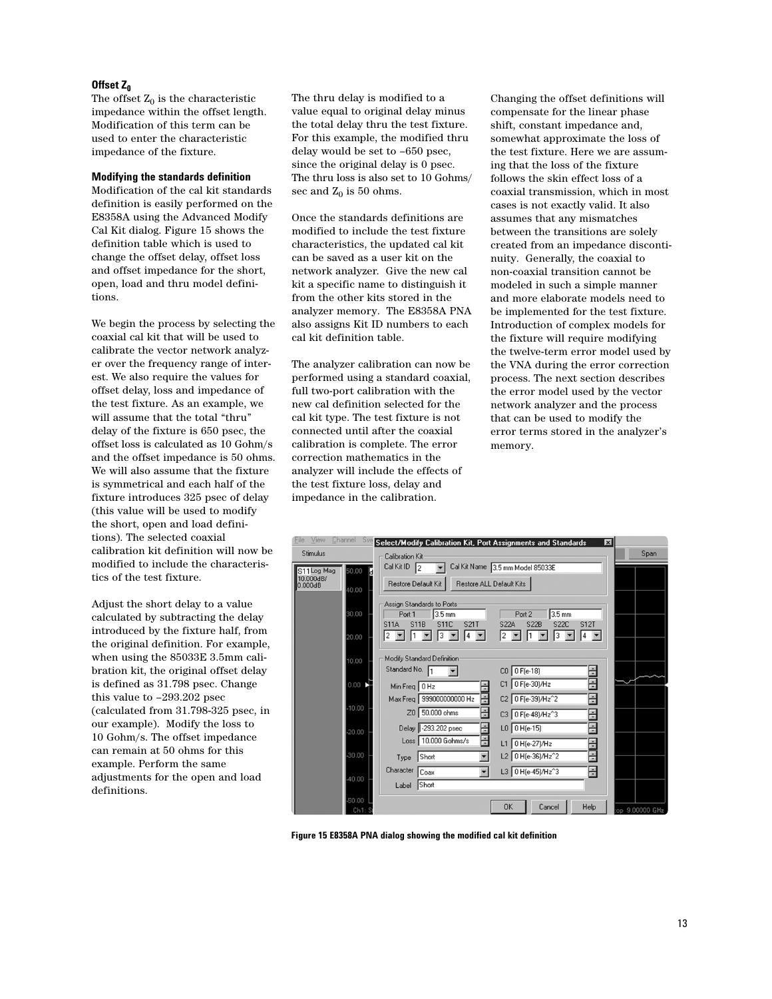## Offset Z<sub>0</sub>

The offset  $Z_0$  is the characteristic impedance within the offset length. Modification of this term can be used to enter the characteristic impedance of the fixture.

## **Modifying the standards definition**

Modification of the cal kit standards definition is easily performed on the E8358A using the Advanced Modify Cal Kit dialog. Figure 15 shows the definition table which is used to change the offset delay, offset loss and offset impedance for the short, open, load and thru model definitions.

We begin the process by selecting the coaxial cal kit that will be used to calibrate the vector network analyzer over the frequency range of interest. We also require the values for offset delay, loss and impedance of the test fixture. As an example, we will assume that the total "thru" delay of the fixture is 650 psec, the offset loss is calculated as 10 Gohm/s and the offset impedance is 50 ohms. We will also assume that the fixture is symmetrical and each half of the fixture introduces 325 psec of delay (this value will be used to modify the short, open and load definitions). The selected coaxial calibration kit definition will now be modified to include the characteristics of the test fixture.

Adjust the short delay to a value calculated by subtracting the delay introduced by the fixture half, from the original definition. For example, when using the 85033E 3.5mm calibration kit, the original offset delay is defined as 31.798 psec. Change this value to –293.202 psec (calculated from 31.798-325 psec, in our example). Modify the loss to 10 Gohm/s. The offset impedance can remain at 50 ohms for this example. Perform the same adjustments for the open and load definitions.

The thru delay is modified to a value equal to original delay minus the total delay thru the test fixture. For this example, the modified thru delay would be set to –650 psec, since the original delay is 0 psec. The thru loss is also set to 10 Gohms/ sec and  $Z_0$  is 50 ohms.

Once the standards definitions are modified to include the test fixture characteristics, the updated cal kit can be saved as a user kit on the network analyzer. Give the new cal kit a specific name to distinguish it from the other kits stored in the analyzer memory. The E8358A PNA also assigns Kit ID numbers to each cal kit definition table.

The analyzer calibration can now be performed using a standard coaxial, full two-port calibration with the new cal definition selected for the cal kit type. The test fixture is not connected until after the coaxial calibration is complete. The error correction mathematics in the analyzer will include the effects of the test fixture loss, delay and impedance in the calibration.

Changing the offset definitions will compensate for the linear phase shift, constant impedance and, somewhat approximate the loss of the test fixture. Here we are assuming that the loss of the fixture follows the skin effect loss of a coaxial transmission, which in most cases is not exactly valid. It also assumes that any mismatches between the transitions are solely created from an impedance discontinuity. Generally, the coaxial to non-coaxial transition cannot be modeled in such a simple manner and more elaborate models need to be implemented for the test fixture. Introduction of complex models for the fixture will require modifying the twelve-term error model used by the VNA during the error correction process. The next section describes the error model used by the vector network analyzer and the process that can be used to modify the error terms stored in the analyzer's memory.



**Figure 15 E8358A PNA dialog showing the modified cal kit definition**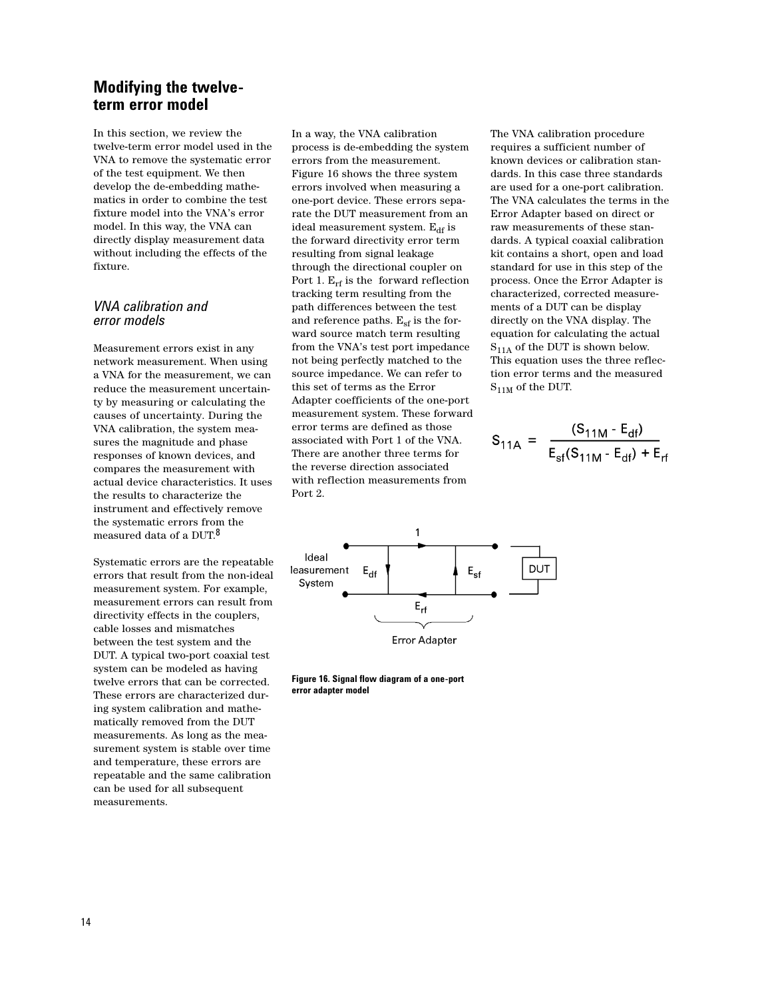# **Modifying the twelveterm error model**

In this section, we review the twelve-term error model used in the VNA to remove the systematic error of the test equipment. We then develop the de-embedding mathematics in order to combine the test fixture model into the VNA's error model. In this way, the VNA can directly display measurement data without including the effects of the fixture.

## *VNA calibration and error models*

Measurement errors exist in any network measurement. When using a VNA for the measurement, we can reduce the measurement uncertainty by measuring or calculating the causes of uncertainty. During the VNA calibration, the system measures the magnitude and phase responses of known devices, and compares the measurement with actual device characteristics. It uses the results to characterize the instrument and effectively remove the systematic errors from the measured data of a DUT.8

Systematic errors are the repeatable errors that result from the non-ideal measurement system. For example, measurement errors can result from directivity effects in the couplers, cable losses and mismatches between the test system and the DUT. A typical two-port coaxial test system can be modeled as having twelve errors that can be corrected. These errors are characterized during system calibration and mathematically removed from the DUT measurements. As long as the measurement system is stable over time and temperature, these errors are repeatable and the same calibration can be used for all subsequent measurements.

In a way, the VNA calibration process is de-embedding the system errors from the measurement. Figure 16 shows the three system errors involved when measuring a one-port device. These errors separate the DUT measurement from an ideal measurement system.  $E_{df}$  is the forward directivity error term resulting from signal leakage through the directional coupler on Port 1.  $E_{rf}$  is the forward reflection tracking term resulting from the path differences between the test and reference paths.  $E_{sf}$  is the forward source match term resulting from the VNA's test port impedance not being perfectly matched to the source impedance. We can refer to this set of terms as the Error Adapter coefficients of the one-port measurement system. These forward error terms are defined as those associated with Port 1 of the VNA. There are another three terms for the reverse direction associated with reflection measurements from Port 2.

The VNA calibration procedure requires a sufficient number of known devices or calibration standards. In this case three standards are used for a one-port calibration. The VNA calculates the terms in the Error Adapter based on direct or raw measurements of these standards. A typical coaxial calibration kit contains a short, open and load standard for use in this step of the process. Once the Error Adapter is characterized, corrected measurements of a DUT can be display directly on the VNA display. The equation for calculating the actual  $S<sub>11A</sub>$  of the DUT is shown below. This equation uses the three reflection error terms and the measured  $\rm S_{11M}$  of the DUT.

$$
S_{11A} = \frac{(S_{11M} - E_{df})}{E_{sf}(S_{11M} - E_{df}) + E_{rf}}
$$



**Figure 16. Signal flow diagram of a one-port error adapter model**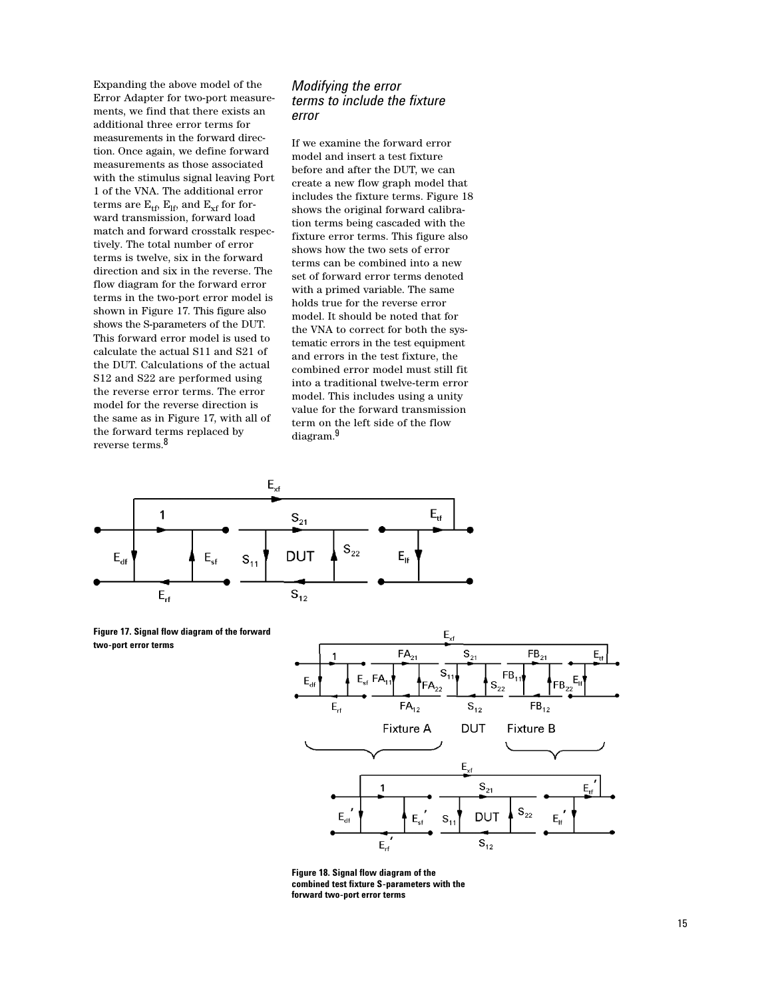Expanding the above model of the Error Adapter for two-port measurements, we find that there exists an additional three error terms for measurements in the forward direction. Once again, we define forward measurements as those associated with the stimulus signal leaving Port 1 of the VNA. The additional error terms are  $E_{tf}$ ,  $E_{lf}$ , and  $E_{xf}$  for forward transmission, forward load match and forward crosstalk respectively. The total number of error terms is twelve, six in the forward direction and six in the reverse. The flow diagram for the forward error terms in the two-port error model is shown in Figure 17. This figure also shows the S-parameters of the DUT. This forward error model is used to calculate the actual S11 and S21 of the DUT. Calculations of the actual S12 and S22 are performed using the reverse error terms. The error model for the reverse direction is the same as in Figure 17, with all of the forward terms replaced by reverse terms.8

## *Modifying the error terms to include the fixture error*

If we examine the forward error model and insert a test fixture before and after the DUT, we can create a new flow graph model that includes the fixture terms. Figure 18 shows the original forward calibration terms being cascaded with the fixture error terms. This figure also shows how the two sets of error terms can be combined into a new set of forward error terms denoted with a primed variable. The same holds true for the reverse error model. It should be noted that for the VNA to correct for both the systematic errors in the test equipment and errors in the test fixture, the combined error model must still fit into a traditional twelve-term error model. This includes using a unity value for the forward transmission term on the left side of the flow diagram.9



**Figure 17. Signal flow diagram of the forward two-port error terms**



**Figure 18. Signal flow diagram of the combined test fixture S-parameters with the forward two-port error terms**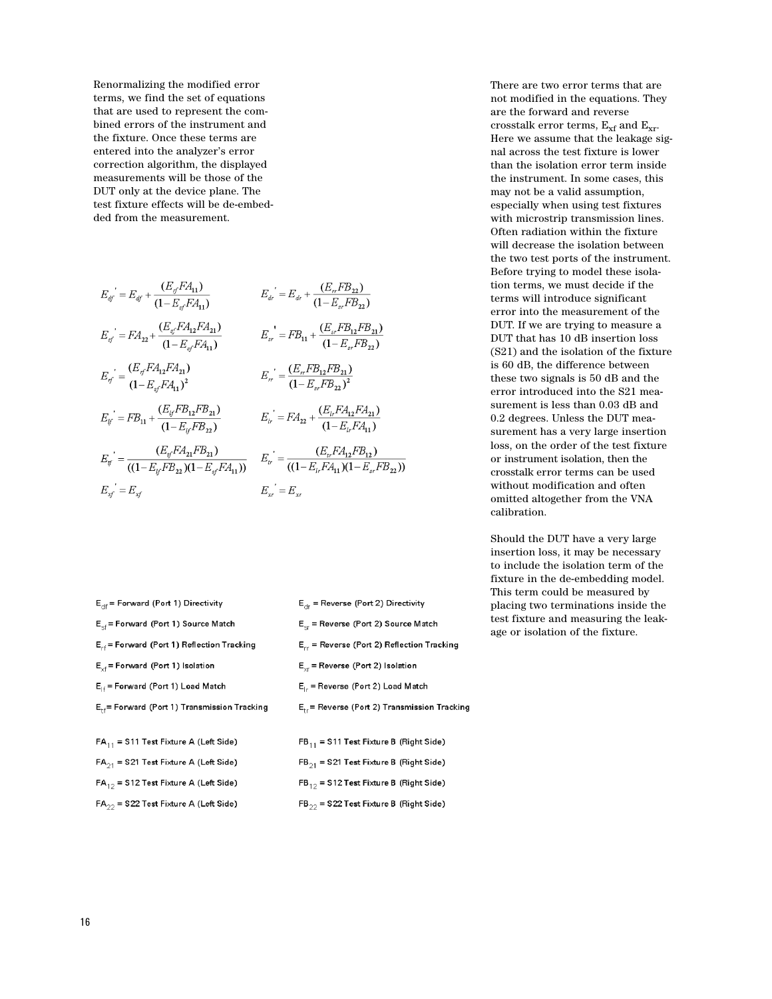Renormalizing the modified error terms, we find the set of equations that are used to represent the combined errors of the instrument and the fixture. Once these terms are entered into the analyzer's error correction algorithm, the displayed measurements will be those of the DUT only at the device plane. The test fixture effects will be de-embedded from the measurement.

$$
E_{df} = E_{df} + \frac{(E_{ff}E_{A_{11}})}{(1 - E_{sf}E_{A_{11}})} \qquad E_{dr} = E_{dr} + \frac{(E_{rf}E_{B_{22}})}{(1 - E_{sf}E_{B_{21}})}
$$
\n
$$
E_{g'} = EA_{22} + \frac{(E_{g'}FA_{12}F_{A_{21}})}{(1 - E_{sf}F_{A_{11}})} \qquad E_{sr} = FB_{11} + \frac{(E_{sr}FB_{12}FB_{21})}{(1 - E_{sr}FB_{22})}
$$
\n
$$
E_{rf} = (1 - E_{sf}FA_{11})^2 \qquad E_{rr} = \frac{(E_{rr}FB_{12}FB_{21})}{(1 - E_{sr}FB_{22})^2}
$$
\n
$$
E_{g'} = FB_{11} + \frac{(E_{lf}FB_{12}FB_{21})}{(1 - E_{lf}FB_{22})} \qquad E_{lr} = FA_{22} + \frac{(E_{lr}FA_{12}FA_{21})}{(1 - E_{lr}FA_{11})}
$$
\n
$$
E_{g'} = \frac{(E_{g'}FA_{21}FB_{21})}{((1 - E_{lf}FB_{22})(1 - E_{sf}F_{A_{11}}))} \qquad E_{tr} = \frac{(E_{tr}FA_{12}FB_{12})}{((1 - E_{lr}FA_{11})(1 - E_{sr}FB_{22}))}
$$
\n
$$
E_{sf} = E_{sf}
$$
\n
$$
E_{sr} = E_{sr}
$$
\n
$$
E_{sr} = E_{sr}
$$

| $E_{\text{df}}$ = Forward (Port 1) Directivity            | $E_{\text{dr}}$ = Reverse (Port 2) Directivity    |
|-----------------------------------------------------------|---------------------------------------------------|
| $E_{\rm cf}$ = Forward (Port 1) Source Match              | $E_{cr}$ = Reverse (Port 2) Source Match          |
| $E_{rf}$ = Forward (Port 1) Reflection Tracking           | $E_{rr}$ = Reverse (Port 2) Reflection Tracking   |
| $E_{\text{ref}}$ = Forward (Port 1) Isolation             | $E_{\text{yr}}$ = Reverse (Port 2) isolation      |
| $E_{\text{H}}$ = Forward (Port 1) Load Match              | $E_{1r}$ = Reverse (Port 2) Load Match            |
| $E_{\text{eff}}$ = Forward (Port 1) Transmission Tracking | $E_{tr}$ = Reverse (Port 2) Transmission Tracking |
|                                                           |                                                   |
| $FA_{11}$ = S11 Test Fixture A (Left Side)                | $FB_{11}$ = S11 Test Fixture B (Right Side)       |
| $FA_{21}$ = S21 Test Fixture A (Left Side)                | $FB_{21}$ = S21 Test Fixture B (Right Side)       |
| $FA_{12}$ = S12 Test Fixture A (Left Side)                | $FB_{12}$ = S12 Test Fixture B (Right Side)       |
| $FA_{22}$ = S22 Test Fixture A (Left Side)                | $FB_{22}$ = S22 Test Fixture B (Right Side)       |

There are two error terms that are not modified in the equations. They are the forward and reverse crosstalk error terms,  $E_{xf}$  and  $E_{xr}$ . Here we assume that the leakage signal across the test fixture is lower than the isolation error term inside the instrument. In some cases, this may not be a valid assumption, especially when using test fixtures with microstrip transmission lines. Often radiation within the fixture will decrease the isolation between the two test ports of the instrument. Before trying to model these isolation terms, we must decide if the terms will introduce significant error into the measurement of the DUT. If we are trying to measure a DUT that has 10 dB insertion loss (S21) and the isolation of the fixture is 60 dB, the difference between these two signals is 50 dB and the error introduced into the S21 measurement is less than 0.03 dB and 0.2 degrees. Unless the DUT measurement has a very large insertion loss, on the order of the test fixture or instrument isolation, then the crosstalk error terms can be used without modification and often omitted altogether from the VNA calibration.

Should the DUT have a very large insertion loss, it may be necessary to include the isolation term of the fixture in the de-embedding model. This term could be measured by placing two terminations inside the test fixture and measuring the leakage or isolation of the fixture.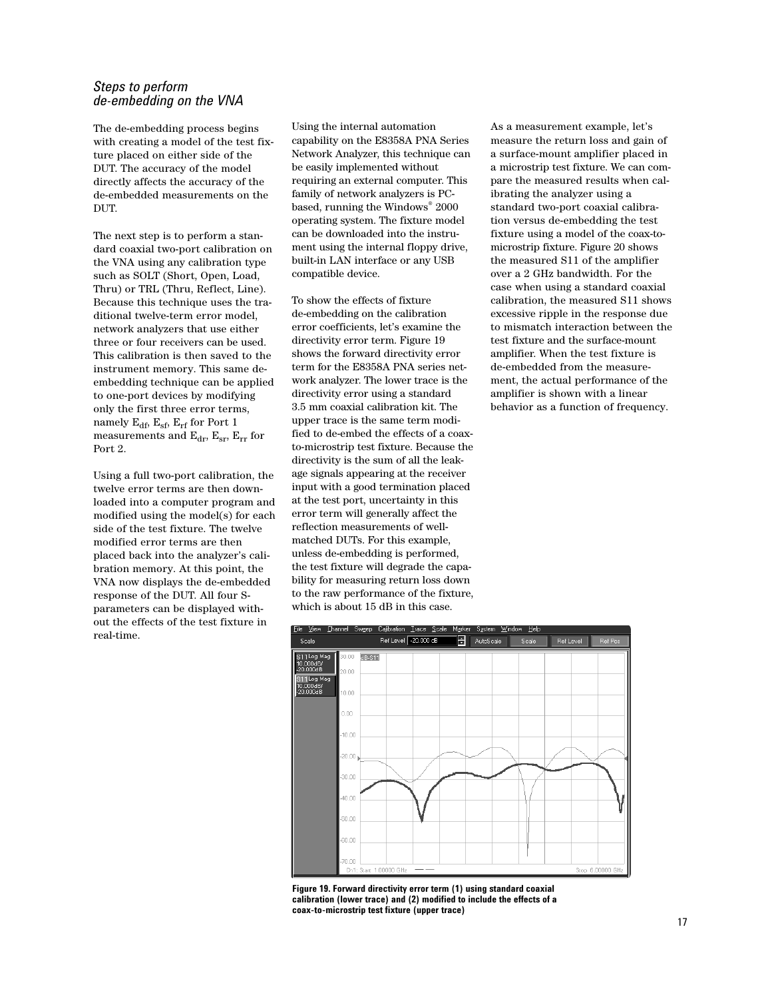## *Steps to perform de-embedding on the VNA*

The de-embedding process begins with creating a model of the test fixture placed on either side of the DUT. The accuracy of the model directly affects the accuracy of the de-embedded measurements on the DUT.

The next step is to perform a standard coaxial two-port calibration on the VNA using any calibration type such as SOLT (Short, Open, Load, Thru) or TRL (Thru, Reflect, Line). Because this technique uses the traditional twelve-term error model, network analyzers that use either three or four receivers can be used. This calibration is then saved to the instrument memory. This same deembedding technique can be applied to one-port devices by modifying only the first three error terms, namely  $E_{df}$ ,  $E_{sf}$ ,  $E_{rf}$  for Port 1 measurements and  $E_{dr}$ ,  $E_{sr}$ ,  $E_{rr}$  for Port 2.

Using a full two-port calibration, the twelve error terms are then downloaded into a computer program and modified using the model(s) for each side of the test fixture. The twelve modified error terms are then placed back into the analyzer's calibration memory. At this point, the VNA now displays the de-embedded response of the DUT. All four Sparameters can be displayed without the effects of the test fixture in real-time.

Using the internal automation capability on the E8358A PNA Series Network Analyzer, this technique can be easily implemented without requiring an external computer. This family of network analyzers is PCbased, running the Windows® 2000 operating system. The fixture model can be downloaded into the instrument using the internal floppy drive, built-in LAN interface or any USB compatible device.

To show the effects of fixture de-embedding on the calibration error coefficients, let's examine the directivity error term. Figure 19 shows the forward directivity error term for the E8358A PNA series network analyzer. The lower trace is the directivity error using a standard 3.5 mm coaxial calibration kit. The upper trace is the same term modified to de-embed the effects of a coaxto-microstrip test fixture. Because the directivity is the sum of all the leakage signals appearing at the receiver input with a good termination placed at the test port, uncertainty in this error term will generally affect the reflection measurements of wellmatched DUTs. For this example, unless de-embedding is performed, the test fixture will degrade the capability for measuring return loss down to the raw performance of the fixture, which is about 15 dB in this case.

As a measurement example, let's measure the return loss and gain of a surface-mount amplifier placed in a microstrip test fixture. We can compare the measured results when calibrating the analyzer using a standard two-port coaxial calibration versus de-embedding the test fixture using a model of the coax-tomicrostrip fixture. Figure 20 shows the measured S11 of the amplifier over a 2 GHz bandwidth. For the case when using a standard coaxial calibration, the measured S11 shows excessive ripple in the response due to mismatch interaction between the test fixture and the surface-mount amplifier. When the test fixture is de-embedded from the measurement, the actual performance of the amplifier is shown with a linear behavior as a function of frequency.



**Figure 19. Forward directivity error term (1) using standard coaxial calibration (lower trace) and (2) modified to include the effects of a coax-to-microstrip test fixture (upper trace)**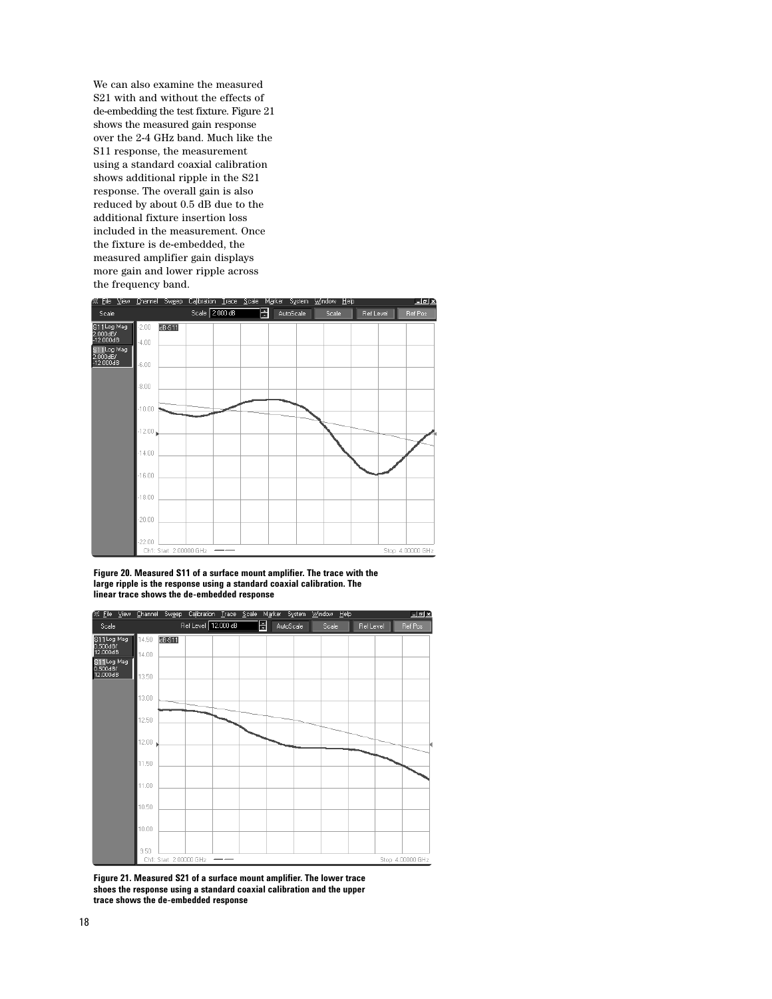We can also examine the measured S21 with and without the effects of de-embedding the test fixture. Figure 21 shows the measured gain response over the 2-4 GHz band. Much like the S11 response, the measurement using a standard coaxial calibration shows additional ripple in the S21 response. The overall gain is also reduced by about 0.5 dB due to the additional fixture insertion loss included in the measurement. Once the fixture is de-embedded, the measured amplifier gain displays more gain and lower ripple across the frequency band.



**Figure 20. Measured S11 of a surface mount amplifier. The trace with the large ripple is the response using a standard coaxial calibration. The linear trace shows the de-embedded response**



**Figure 21. Measured S21 of a surface mount amplifier. The lower trace shoes the response using a standard coaxial calibration and the upper trace shows the de-embedded response**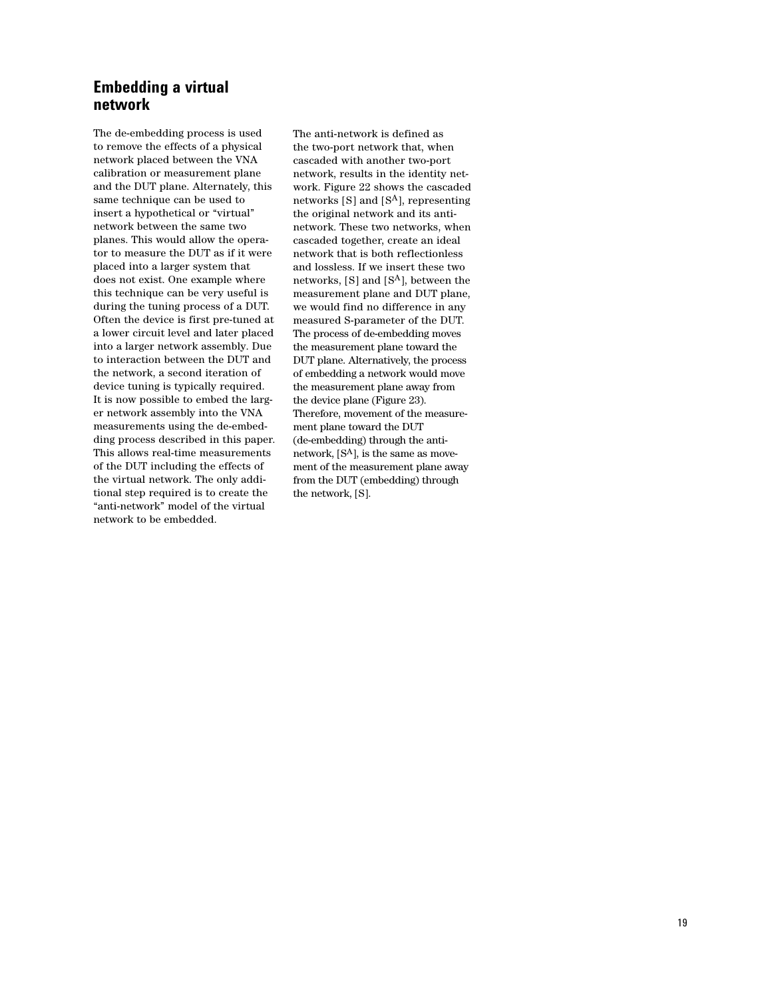# **Embedding a virtual network**

The de-embedding process is used to remove the effects of a physical network placed between the VNA calibration or measurement plane and the DUT plane. Alternately, this same technique can be used to insert a hypothetical or "virtual" network between the same two planes. This would allow the operator to measure the DUT as if it were placed into a larger system that does not exist. One example where this technique can be very useful is during the tuning process of a DUT. Often the device is first pre-tuned at a lower circuit level and later placed into a larger network assembly. Due to interaction between the DUT and the network, a second iteration of device tuning is typically required. It is now possible to embed the larger network assembly into the VNA measurements using the de-embedding process described in this paper. This allows real-time measurements of the DUT including the effects of the virtual network. The only additional step required is to create the "anti-network" model of the virtual network to be embedded.

The anti-network is defined as the two-port network that, when cascaded with another two-port network, results in the identity network. Figure 22 shows the cascaded networks  $[S]$  and  $[S<sup>A</sup>]$ , representing the original network and its antinetwork. These two networks, when cascaded together, create an ideal network that is both reflectionless and lossless. If we insert these two networks, [S] and [SA], between the measurement plane and DUT plane, we would find no difference in any measured S-parameter of the DUT. The process of de-embedding moves the measurement plane toward the DUT plane. Alternatively, the process of embedding a network would move the measurement plane away from the device plane (Figure 23). Therefore, movement of the measurement plane toward the DUT (de-embedding) through the antinetwork, [SA], is the same as movement of the measurement plane away from the DUT (embedding) through the network, [S].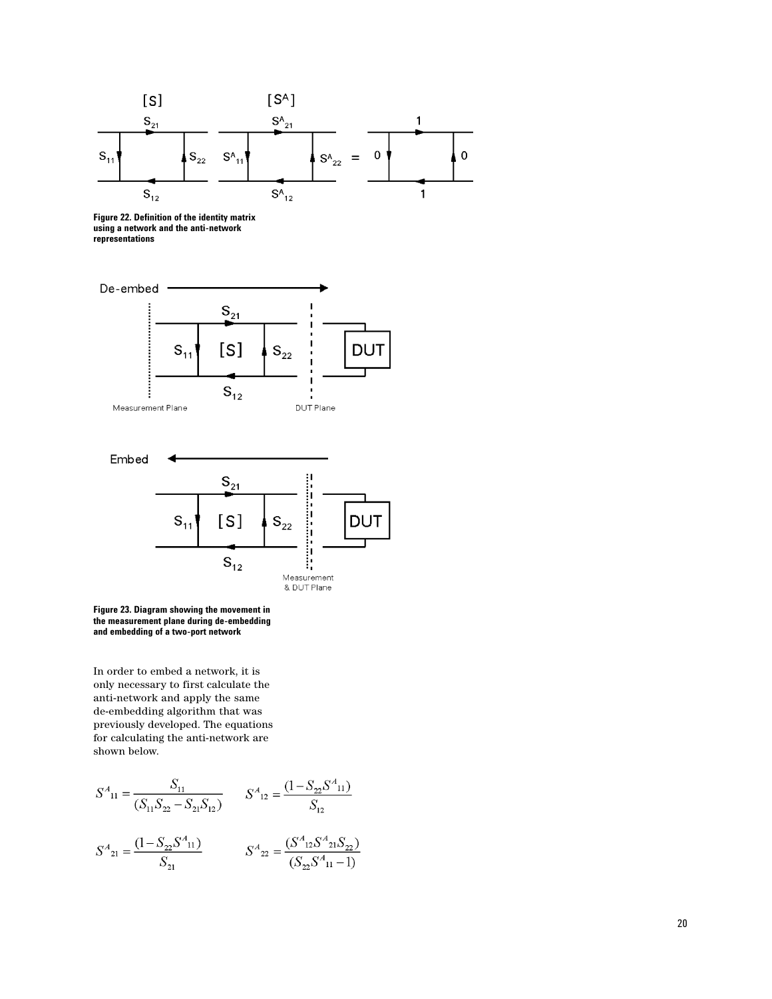

**Figure 22. Definition of the identity matrix using a network and the anti-network representations**





**Figure 23. Diagram showing the movement in the measurement plane during de-embedding and embedding of a two-port network**

In order to embed a network, it is only necessary to first calculate the anti-network and apply the same de-embedding algorithm that was previously developed. The equations for calculating the anti-network are shown below.

$$
S^{A}_{11} = \frac{S_{11}}{(S_{11}S_{22} - S_{21}S_{12})}
$$

$$
S^{A}_{12} = \frac{(1 - S_{22}S^{A}_{11})}{S_{12}}
$$

$$
S^{A}_{21} = \frac{(1 - S_{22}S^{A}_{11})}{S_{21}}
$$

$$
S^{A}_{22} = \frac{(S^{A}_{12}S^{A}_{21}S_{22})}{(S_{22}S^{A}_{11} - 1)}
$$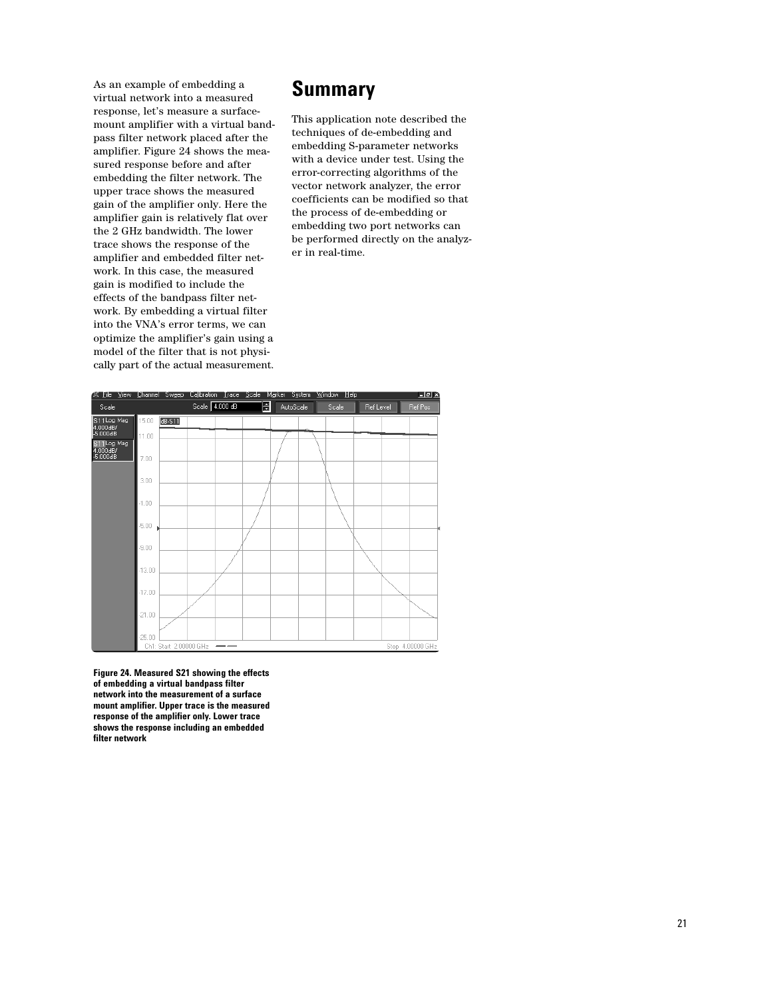As an example of embedding a virtual network into a measured response, let's measure a surfacemount amplifier with a virtual bandpass filter network placed after the amplifier. Figure 24 shows the measured response before and after embedding the filter network. The upper trace shows the measured gain of the amplifier only. Here the amplifier gain is relatively flat over the 2 GHz bandwidth. The lower trace shows the response of the amplifier and embedded filter network. In this case, the measured gain is modified to include the effects of the bandpass filter network. By embedding a virtual filter into the VNA's error terms, we can optimize the amplifier's gain using a model of the filter that is not physically part of the actual measurement.

# **Summary**

This application note described the techniques of de-embedding and embedding S-parameter networks with a device under test. Using the error-correcting algorithms of the vector network analyzer, the error coefficients can be modified so that the process of de-embedding or embedding two port networks can be performed directly on the analyzer in real-time.



**Figure 24. Measured S21 showing the effects of embedding a virtual bandpass filter network into the measurement of a surface mount amplifier. Upper trace is the measured response of the amplifier only. Lower trace shows the response including an embedded filter network**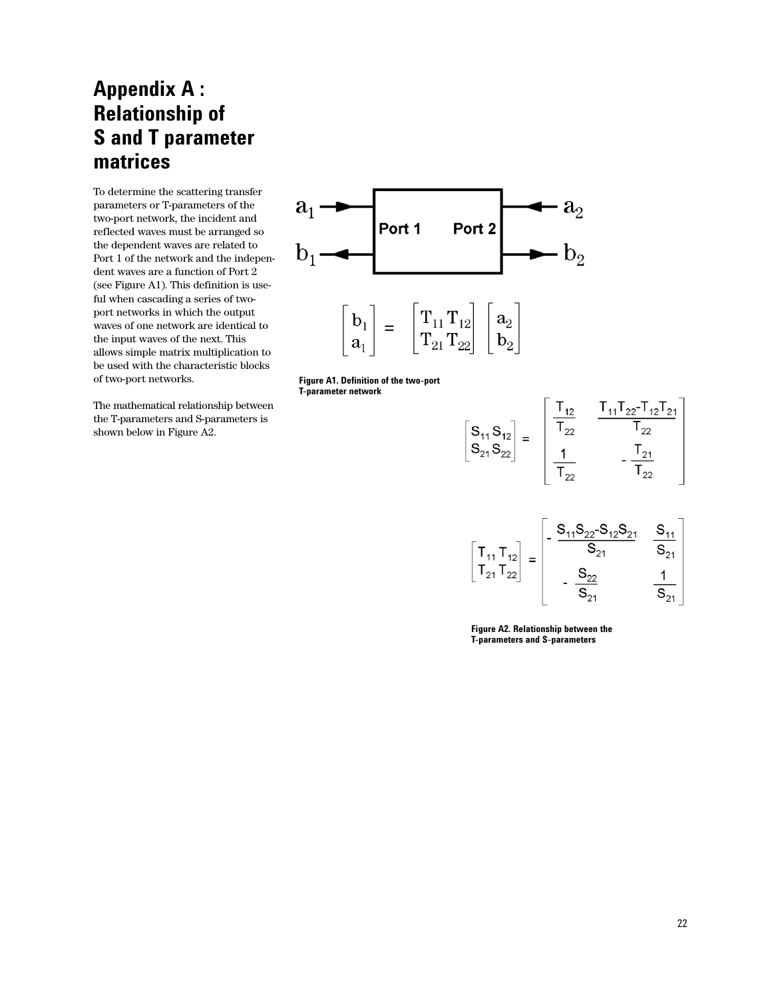# **Appendix A : Relationship of S and T parameter matrices**

To determine the scattering transfer parameters or T-parameters of the two-port network, the incident and reflected waves must be arranged so the dependent waves are related to Port 1 of the network and the independent waves are a function of Port 2 (see Figure A1). This definition is useful when cascading a series of twoport networks in which the output waves of one network are identical to the input waves of the next. This allows simple matrix multiplication to be used with the characteristic blocks of two-port networks.

The mathematical relationship between the T-parameters and S-parameters is shown below in Figure A2.



**Figure A1. Definition of the two-port T-parameter network**

$$
\begin{bmatrix} S_{11} S_{12} \ S_{21} S_{22} \end{bmatrix} = \begin{bmatrix} \frac{T_{12}}{T_{22}} & \frac{T_{11} T_{22} - T_{12} T_{21}}{T_{22}} \\ \frac{1}{T_{22}} & -\frac{T_{21}}{T_{22}} \end{bmatrix}
$$

$$
\begin{bmatrix} T_{11} T_{12} \\ T_{21} T_{22} \end{bmatrix} = \begin{bmatrix} -\frac{S_{11} S_{22} - S_{12} S_{21}}{S_{21}} & \frac{S_{11}}{S_{21}} \\ -\frac{S_{22}}{S_{21}} & \frac{1}{S_{21}} \end{bmatrix}
$$

**Figure A2. Relationship between the T-parameters and S-parameters**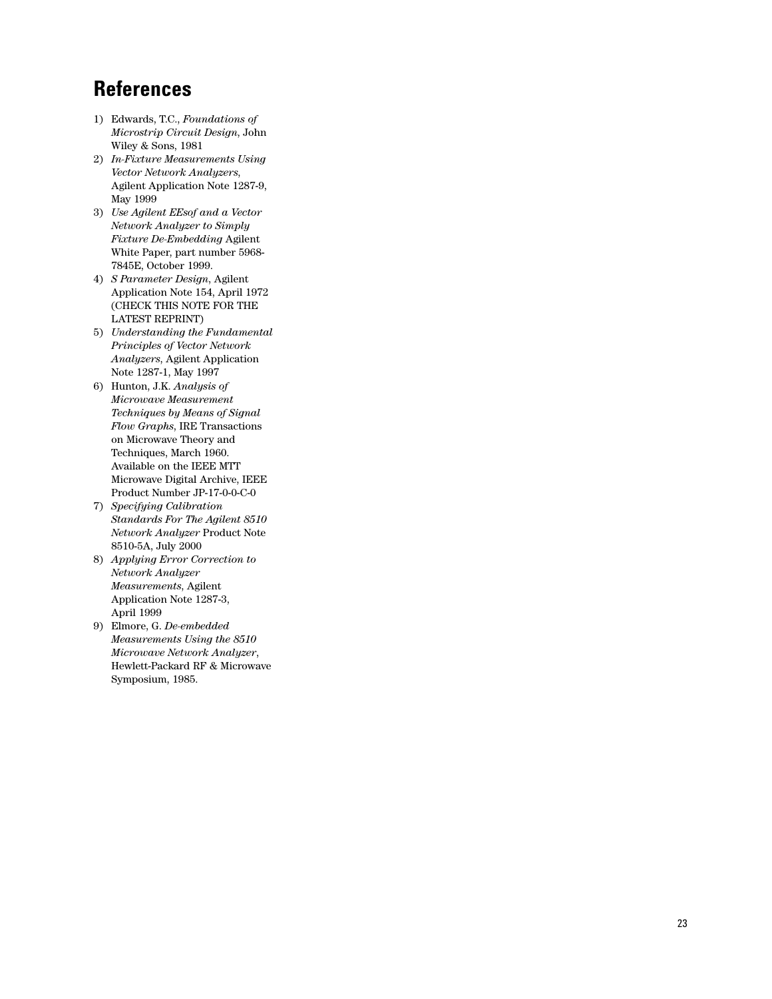# **References**

- 1) Edwards, T.C., *Foundations of Microstrip Circuit Design*, John Wiley & Sons, 1981
- 2) *In-Fixture Measurements Using Vector Network Analyzers*, Agilent Application Note 1287-9, May 1999
- 3) *Use Agilent EEsof and a Vector Network Analyzer to Simply Fixture De-Embedding* Agilent White Paper, part number 5968- 7845E, October 1999.
- 4) *S Parameter Design*, Agilent Application Note 154, April 1972 (CHECK THIS NOTE FOR THE LATEST REPRINT)
- 5) *Understanding the Fundamental Principles of Vector Network Analyzers*, Agilent Application Note 1287-1, May 1997
- 6) Hunton, J.K. *Analysis of Microwave Measurement Techniques by Means of Signal Flow Graphs*, IRE Transactions on Microwave Theory and Techniques, March 1960. Available on the IEEE MTT Microwave Digital Archive, IEEE Product Number JP-17-0-0-C-0
- 7) *Specifying Calibration Standards For The Agilent 8510 Network Analyzer* Product Note 8510-5A, July 2000
- 8) *Applying Error Correction to Network Analyzer Measurements*, Agilent Application Note 1287-3, April 1999
- 9) Elmore, G. *De-embedded Measurements Using the 8510 Microwave Network Analyzer*, Hewlett-Packard RF & Microwave Symposium, 1985.